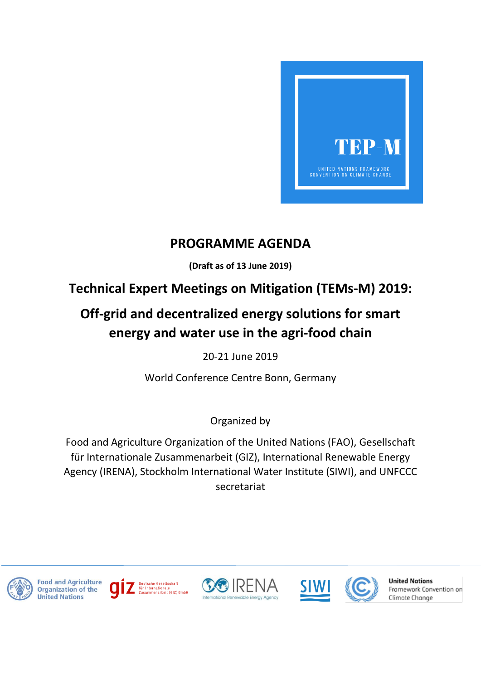

## **PROGRAMME AGENDA**

**(Draft as of 13 June 2019)**

## **Technical Expert Meetings on Mitigation (TEMs-M) 2019:**

## **Off-grid and decentralized energy solutions for smart energy and water use in the agri-food chain**

20-21 June 2019

World Conference Centre Bonn, Germany

Organized by

Food and Agriculture Organization of the United Nations (FAO), Gesellschaft für Internationale Zusammenarbeit (GIZ), International Renewable Energy Agency (IRENA), Stockholm International Water Institute (SIWI), and UNFCCC secretariat













**United Nations** Framework Convention on Climate Change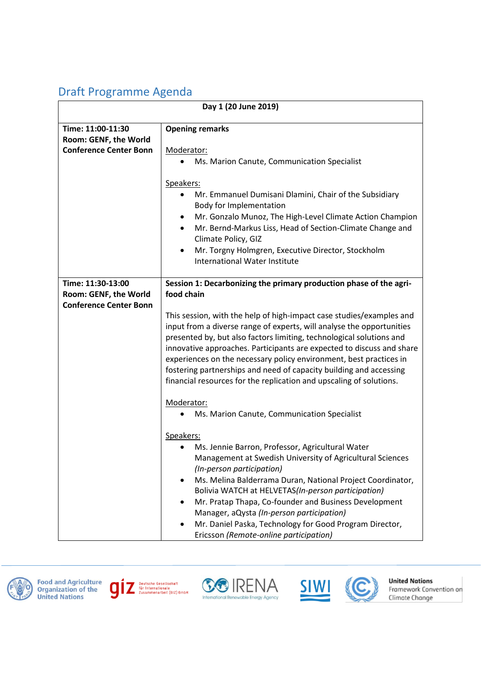## Draft Programme Agenda

| Day 1 (20 June 2019)                       |                                                                                                                                                                                                                                                                                                                                                                                                                                                                                                                   |  |
|--------------------------------------------|-------------------------------------------------------------------------------------------------------------------------------------------------------------------------------------------------------------------------------------------------------------------------------------------------------------------------------------------------------------------------------------------------------------------------------------------------------------------------------------------------------------------|--|
| Time: 11:00-11:30<br>Room: GENF, the World | <b>Opening remarks</b>                                                                                                                                                                                                                                                                                                                                                                                                                                                                                            |  |
| <b>Conference Center Bonn</b>              | Moderator:                                                                                                                                                                                                                                                                                                                                                                                                                                                                                                        |  |
|                                            | Ms. Marion Canute, Communication Specialist                                                                                                                                                                                                                                                                                                                                                                                                                                                                       |  |
|                                            | Speakers:<br>Mr. Emmanuel Dumisani Dlamini, Chair of the Subsidiary<br>$\bullet$<br>Body for Implementation<br>Mr. Gonzalo Munoz, The High-Level Climate Action Champion<br>٠<br>Mr. Bernd-Markus Liss, Head of Section-Climate Change and<br>$\bullet$<br>Climate Policy, GIZ<br>Mr. Torgny Holmgren, Executive Director, Stockholm<br>٠<br><b>International Water Institute</b>                                                                                                                                 |  |
| Time: 11:30-13:00                          | Session 1: Decarbonizing the primary production phase of the agri-                                                                                                                                                                                                                                                                                                                                                                                                                                                |  |
| Room: GENF, the World                      | food chain                                                                                                                                                                                                                                                                                                                                                                                                                                                                                                        |  |
| <b>Conference Center Bonn</b>              |                                                                                                                                                                                                                                                                                                                                                                                                                                                                                                                   |  |
|                                            | This session, with the help of high-impact case studies/examples and<br>input from a diverse range of experts, will analyse the opportunities<br>presented by, but also factors limiting, technological solutions and<br>innovative approaches. Participants are expected to discuss and share<br>experiences on the necessary policy environment, best practices in<br>fostering partnerships and need of capacity building and accessing<br>financial resources for the replication and upscaling of solutions. |  |
|                                            | Moderator:                                                                                                                                                                                                                                                                                                                                                                                                                                                                                                        |  |
|                                            | Ms. Marion Canute, Communication Specialist                                                                                                                                                                                                                                                                                                                                                                                                                                                                       |  |
|                                            | Speakers:<br>Ms. Jennie Barron, Professor, Agricultural Water<br>Management at Swedish University of Agricultural Sciences<br>(In-person participation)<br>Ms. Melina Balderrama Duran, National Project Coordinator,<br>Bolivia WATCH at HELVETAS(In-person participation)<br>Mr. Pratap Thapa, Co-founder and Business Development<br>Manager, aQysta (In-person participation)<br>Mr. Daniel Paska, Technology for Good Program Director,<br>Ericsson (Remote-online participation)                            |  |













**United Nations** Framework Convention on<br>Climate Change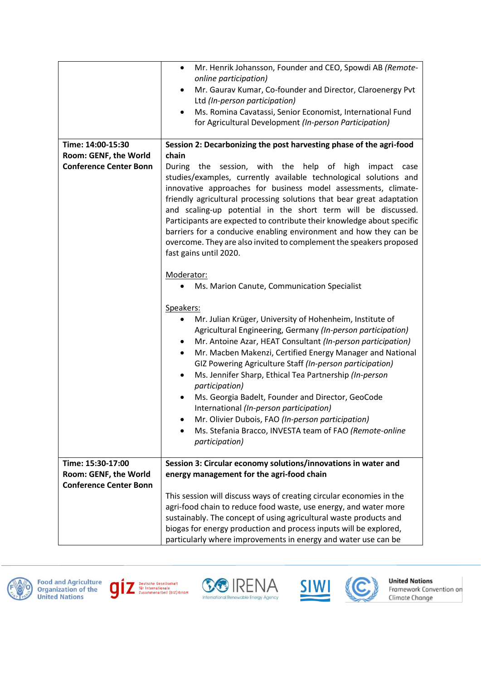|                                                                             | Mr. Henrik Johansson, Founder and CEO, Spowdi AB (Remote-<br>$\bullet$<br>online participation)<br>Mr. Gaurav Kumar, Co-founder and Director, Claroenergy Pvt<br>$\bullet$<br>Ltd (In-person participation)<br>Ms. Romina Cavatassi, Senior Economist, International Fund<br>$\bullet$<br>for Agricultural Development (In-person Participation)                                                                                                                                                                                                                                                                                                                                                                   |
|-----------------------------------------------------------------------------|--------------------------------------------------------------------------------------------------------------------------------------------------------------------------------------------------------------------------------------------------------------------------------------------------------------------------------------------------------------------------------------------------------------------------------------------------------------------------------------------------------------------------------------------------------------------------------------------------------------------------------------------------------------------------------------------------------------------|
| Time: 14:00-15:30<br>Room: GENF, the World<br><b>Conference Center Bonn</b> | Session 2: Decarbonizing the post harvesting phase of the agri-food<br>chain<br>During<br>the session, with the help of high impact<br>case<br>studies/examples, currently available technological solutions and<br>innovative approaches for business model assessments, climate-<br>friendly agricultural processing solutions that bear great adaptation<br>and scaling-up potential in the short term will be discussed.<br>Participants are expected to contribute their knowledge about specific<br>barriers for a conducive enabling environment and how they can be                                                                                                                                        |
|                                                                             | overcome. They are also invited to complement the speakers proposed<br>fast gains until 2020.<br>Moderator:<br>Ms. Marion Canute, Communication Specialist<br>Speakers:<br>Mr. Julian Krüger, University of Hohenheim, Institute of<br>٠<br>Agricultural Engineering, Germany (In-person participation)<br>Mr. Antoine Azar, HEAT Consultant (In-person participation)<br>Mr. Macben Makenzi, Certified Energy Manager and National<br>$\bullet$<br>GIZ Powering Agriculture Staff (In-person participation)<br>Ms. Jennifer Sharp, Ethical Tea Partnership (In-person<br>$\bullet$<br>participation)<br>Ms. Georgia Badelt, Founder and Director, GeoCode<br>$\bullet$<br>International (In-person participation) |
|                                                                             | Mr. Olivier Dubois, FAO (In-person participation)<br>Ms. Stefania Bracco, INVESTA team of FAO (Remote-online<br><i>participation</i> )                                                                                                                                                                                                                                                                                                                                                                                                                                                                                                                                                                             |
| Time: 15:30-17:00<br>Room: GENF, the World<br><b>Conference Center Bonn</b> | Session 3: Circular economy solutions/innovations in water and<br>energy management for the agri-food chain                                                                                                                                                                                                                                                                                                                                                                                                                                                                                                                                                                                                        |
|                                                                             | This session will discuss ways of creating circular economies in the<br>agri-food chain to reduce food waste, use energy, and water more<br>sustainably. The concept of using agricultural waste products and<br>biogas for energy production and process inputs will be explored,<br>particularly where improvements in energy and water use can be                                                                                                                                                                                                                                                                                                                                                               |













**United Nations**<br>Framework Convention on<br>Climate Change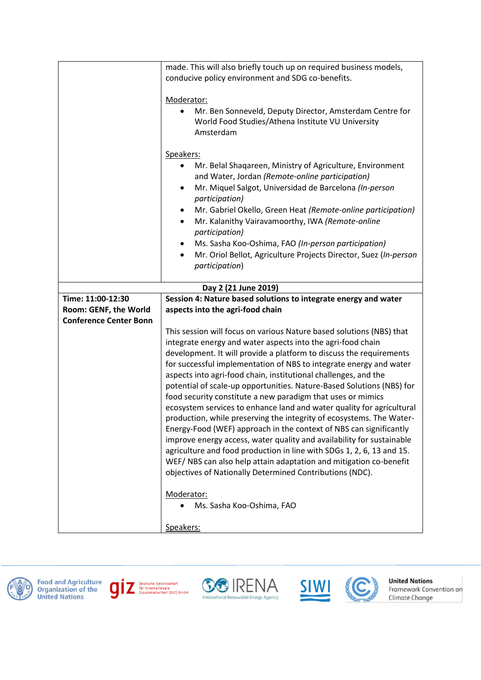|                               | made. This will also briefly touch up on required business models,<br>conducive policy environment and SDG co-benefits.                                                                                                                                                                                                                                                                                                                                                                                                                                                                                                                                                                                                                                                                                                                                                                                                                                                                                                                          |
|-------------------------------|--------------------------------------------------------------------------------------------------------------------------------------------------------------------------------------------------------------------------------------------------------------------------------------------------------------------------------------------------------------------------------------------------------------------------------------------------------------------------------------------------------------------------------------------------------------------------------------------------------------------------------------------------------------------------------------------------------------------------------------------------------------------------------------------------------------------------------------------------------------------------------------------------------------------------------------------------------------------------------------------------------------------------------------------------|
|                               | Moderator:                                                                                                                                                                                                                                                                                                                                                                                                                                                                                                                                                                                                                                                                                                                                                                                                                                                                                                                                                                                                                                       |
|                               | Mr. Ben Sonneveld, Deputy Director, Amsterdam Centre for<br>World Food Studies/Athena Institute VU University<br>Amsterdam                                                                                                                                                                                                                                                                                                                                                                                                                                                                                                                                                                                                                                                                                                                                                                                                                                                                                                                       |
|                               | Speakers:<br>Mr. Belal Shaqareen, Ministry of Agriculture, Environment<br>and Water, Jordan (Remote-online participation)<br>Mr. Miquel Salgot, Universidad de Barcelona (In-person<br>٠<br>participation)<br>Mr. Gabriel Okello, Green Heat (Remote-online participation)<br>Mr. Kalanithy Vairavamoorthy, IWA (Remote-online<br>participation)<br>Ms. Sasha Koo-Oshima, FAO (In-person participation)<br>Mr. Oriol Bellot, Agriculture Projects Director, Suez (In-person<br>participation)                                                                                                                                                                                                                                                                                                                                                                                                                                                                                                                                                    |
|                               | Day 2 (21 June 2019)                                                                                                                                                                                                                                                                                                                                                                                                                                                                                                                                                                                                                                                                                                                                                                                                                                                                                                                                                                                                                             |
| Time: 11:00-12:30             | Session 4: Nature based solutions to integrate energy and water                                                                                                                                                                                                                                                                                                                                                                                                                                                                                                                                                                                                                                                                                                                                                                                                                                                                                                                                                                                  |
| Room: GENF, the World         | aspects into the agri-food chain                                                                                                                                                                                                                                                                                                                                                                                                                                                                                                                                                                                                                                                                                                                                                                                                                                                                                                                                                                                                                 |
| <b>Conference Center Bonn</b> | This session will focus on various Nature based solutions (NBS) that<br>integrate energy and water aspects into the agri-food chain<br>development. It will provide a platform to discuss the requirements<br>for successful implementation of NBS to integrate energy and water<br>aspects into agri-food chain, institutional challenges, and the<br>potential of scale-up opportunities. Nature-Based Solutions (NBS) for<br>food security constitute a new paradigm that uses or mimics<br>ecosystem services to enhance land and water quality for agricultural<br>production, while preserving the integrity of ecosystems. The Water-<br>Energy-Food (WEF) approach in the context of NBS can significantly<br>improve energy access, water quality and availability for sustainable<br>agriculture and food production in line with SDGs 1, 2, 6, 13 and 15.<br>WEF/NBS can also help attain adaptation and mitigation co-benefit<br>objectives of Nationally Determined Contributions (NDC).<br>Moderator:<br>Ms. Sasha Koo-Oshima, FAO |
|                               | Speakers:                                                                                                                                                                                                                                                                                                                                                                                                                                                                                                                                                                                                                                                                                                                                                                                                                                                                                                                                                                                                                                        |













**United Nations**<br>Framework Convention on<br>Climate Change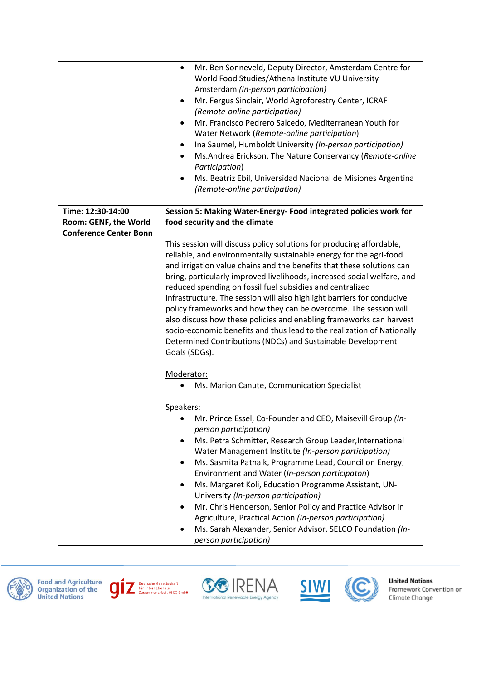|                               | Mr. Ben Sonneveld, Deputy Director, Amsterdam Centre for<br>$\bullet$<br>World Food Studies/Athena Institute VU University<br>Amsterdam (In-person participation)<br>Mr. Fergus Sinclair, World Agroforestry Center, ICRAF<br>$\bullet$<br>(Remote-online participation)<br>Mr. Francisco Pedrero Salcedo, Mediterranean Youth for<br>٠<br>Water Network (Remote-online participation)<br>Ina Saumel, Humboldt University (In-person participation)<br>$\bullet$<br>Ms.Andrea Erickson, The Nature Conservancy (Remote-online<br>$\bullet$<br>Participation)<br>Ms. Beatriz Ebil, Universidad Nacional de Misiones Argentina<br>$\bullet$<br>(Remote-online participation)                                                                 |
|-------------------------------|--------------------------------------------------------------------------------------------------------------------------------------------------------------------------------------------------------------------------------------------------------------------------------------------------------------------------------------------------------------------------------------------------------------------------------------------------------------------------------------------------------------------------------------------------------------------------------------------------------------------------------------------------------------------------------------------------------------------------------------------|
| Time: 12:30-14:00             | Session 5: Making Water-Energy- Food integrated policies work for                                                                                                                                                                                                                                                                                                                                                                                                                                                                                                                                                                                                                                                                          |
| Room: GENF, the World         | food security and the climate                                                                                                                                                                                                                                                                                                                                                                                                                                                                                                                                                                                                                                                                                                              |
| <b>Conference Center Bonn</b> | This session will discuss policy solutions for producing affordable,<br>reliable, and environmentally sustainable energy for the agri-food<br>and irrigation value chains and the benefits that these solutions can<br>bring, particularly improved livelihoods, increased social welfare, and<br>reduced spending on fossil fuel subsidies and centralized<br>infrastructure. The session will also highlight barriers for conducive<br>policy frameworks and how they can be overcome. The session will<br>also discuss how these policies and enabling frameworks can harvest<br>socio-economic benefits and thus lead to the realization of Nationally<br>Determined Contributions (NDCs) and Sustainable Development<br>Goals (SDGs). |
|                               | Moderator:<br>Ms. Marion Canute, Communication Specialist                                                                                                                                                                                                                                                                                                                                                                                                                                                                                                                                                                                                                                                                                  |
|                               | Speakers:<br>Mr. Prince Essel, Co-Founder and CEO, Maisevill Group (In-<br>person participation)<br>Ms. Petra Schmitter, Research Group Leader, International<br>Water Management Institute (In-person participation)<br>Ms. Sasmita Patnaik, Programme Lead, Council on Energy,<br>Environment and Water (In-person participaton)<br>Ms. Margaret Koli, Education Programme Assistant, UN-<br>٠<br>University (In-person participation)<br>Mr. Chris Henderson, Senior Policy and Practice Advisor in<br>Agriculture, Practical Action (In-person participation)<br>Ms. Sarah Alexander, Senior Advisor, SELCO Foundation (In-<br>person participation)                                                                                   |













**United Nations**<br>Framework Convention on<br>Climate Change